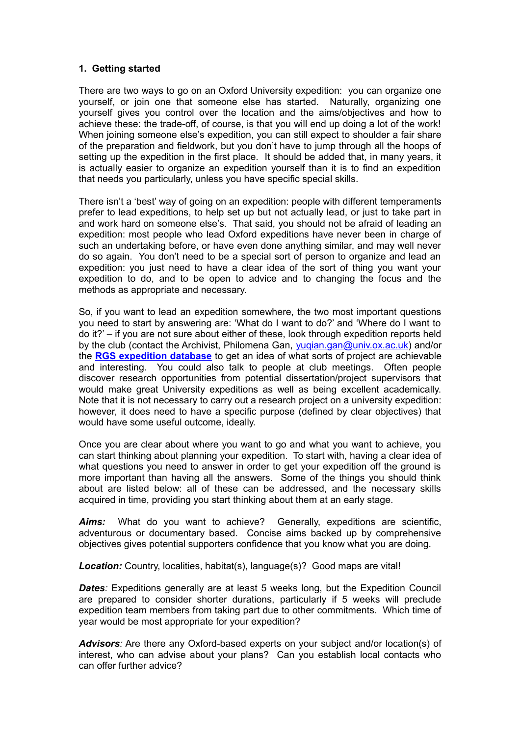#### **1. Getting started**

There are two ways to go on an Oxford University expedition: you can organize one yourself, or join one that someone else has started. Naturally, organizing one yourself gives you control over the location and the aims/objectives and how to achieve these: the trade-off, of course, is that you will end up doing a lot of the work! When joining someone else's expedition, you can still expect to shoulder a fair share of the preparation and fieldwork, but you don't have to jump through all the hoops of setting up the expedition in the first place. It should be added that, in many years, it is actually easier to organize an expedition yourself than it is to find an expedition that needs you particularly, unless you have specific special skills.

There isn't a 'best' way of going on an expedition: people with different temperaments prefer to lead expeditions, to help set up but not actually lead, or just to take part in and work hard on someone else's. That said, you should not be afraid of leading an expedition: most people who lead Oxford expeditions have never been in charge of such an undertaking before, or have even done anything similar, and may well never do so again. You don't need to be a special sort of person to organize and lead an expedition: you just need to have a clear idea of the sort of thing you want your expedition to do, and to be open to advice and to changing the focus and the methods as appropriate and necessary.

So, if you want to lead an expedition somewhere, the two most important questions you need to start by answering are: 'What do I want to do?' and 'Where do I want to do it?' – if you are not sure about either of these, look through expedition reports held by the club (contact the Archivist, Philomena Gan, [yuqian.gan@univ.ox.ac.uk\)](mailto:yuqian.gan@univ.ox.ac.uk) and/or the **[RGS expedition database](http://www.rgs.org/OurWork/Fieldwork+and+Expeditions/ExpeditionsDatabaseAndReports/Expedition+Database+and+Reports.htm)** to get an idea of what sorts of project are achievable and interesting. You could also talk to people at club meetings. Often people discover research opportunities from potential dissertation/project supervisors that would make great University expeditions as well as being excellent academically. Note that it is not necessary to carry out a research project on a university expedition: however, it does need to have a specific purpose (defined by clear objectives) that would have some useful outcome, ideally.

Once you are clear about where you want to go and what you want to achieve, you can start thinking about planning your expedition. To start with, having a clear idea of what questions you need to answer in order to get your expedition off the ground is more important than having all the answers. Some of the things you should think about are listed below: all of these can be addressed, and the necessary skills acquired in time, providing you start thinking about them at an early stage.

*Aims:* What do you want to achieve? Generally, expeditions are scientific, adventurous or documentary based. Concise aims backed up by comprehensive objectives gives potential supporters confidence that you know what you are doing.

**Location:** Country, localities, habitat(s), language(s)? Good maps are vital!

*Dates*: Expeditions generally are at least 5 weeks long, but the Expedition Council are prepared to consider shorter durations, particularly if 5 weeks will preclude expedition team members from taking part due to other commitments. Which time of year would be most appropriate for your expedition?

*Advisors:* Are there any Oxford-based experts on your subject and/or location(s) of interest, who can advise about your plans? Can you establish local contacts who can offer further advice?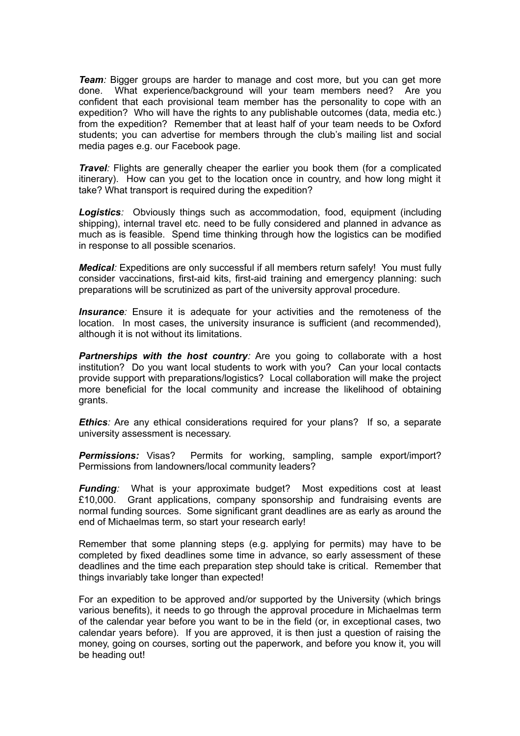*Team:* Bigger groups are harder to manage and cost more, but you can get more done. What experience/background will your team members need? Are you confident that each provisional team member has the personality to cope with an expedition? Who will have the rights to any publishable outcomes (data, media etc.) from the expedition? Remember that at least half of your team needs to be Oxford students; you can advertise for members through the club's mailing list and social media pages e.g. our Facebook page.

*Travel:* Flights are generally cheaper the earlier you book them (for a complicated itinerary). How can you get to the location once in country, and how long might it take? What transport is required during the expedition?

*Logistics:* Obviously things such as accommodation, food, equipment (including shipping), internal travel etc. need to be fully considered and planned in advance as much as is feasible. Spend time thinking through how the logistics can be modified in response to all possible scenarios.

*Medical:* Expeditions are only successful if all members return safely! You must fully consider vaccinations, first-aid kits, first-aid training and emergency planning: such preparations will be scrutinized as part of the university approval procedure.

*Insurance*: Ensure it is adequate for your activities and the remoteness of the location. In most cases, the university insurance is sufficient (and recommended), although it is not without its limitations.

**Partnerships with the host country**: Are you going to collaborate with a host institution? Do you want local students to work with you? Can your local contacts provide support with preparations/logistics? Local collaboration will make the project more beneficial for the local community and increase the likelihood of obtaining grants.

*Ethics*: Are any ethical considerations required for your plans? If so, a separate university assessment is necessary.

**Permissions:** Visas? Permits for working, sampling, sample export/import? Permissions from landowners/local community leaders?

*Funding*: What is your approximate budget? Most expeditions cost at least £10,000. Grant applications, company sponsorship and fundraising events are normal funding sources. Some significant grant deadlines are as early as around the end of Michaelmas term, so start your research early!

Remember that some planning steps (e.g. applying for permits) may have to be completed by fixed deadlines some time in advance, so early assessment of these deadlines and the time each preparation step should take is critical. Remember that things invariably take longer than expected!

For an expedition to be approved and/or supported by the University (which brings various benefits), it needs to go through the approval procedure in Michaelmas term of the calendar year before you want to be in the field (or, in exceptional cases, two calendar years before). If you are approved, it is then just a question of raising the money, going on courses, sorting out the paperwork, and before you know it, you will be heading out!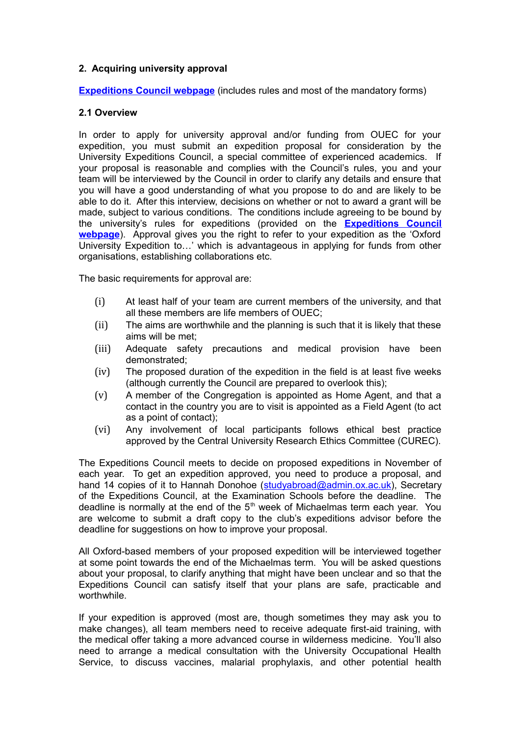## **2. Acquiring university approval**

**[Expeditions Council webpage](http://www.ox.ac.uk/students/academic/expeditions)** (includes rules and most of the mandatory forms)

#### **2.1 Overview**

In order to apply for university approval and/or funding from OUEC for your expedition, you must submit an expedition proposal for consideration by the University Expeditions Council, a special committee of experienced academics. If your proposal is reasonable and complies with the Council's rules, you and your team will be interviewed by the Council in order to clarify any details and ensure that you will have a good understanding of what you propose to do and are likely to be able to do it. After this interview, decisions on whether or not to award a grant will be made, subject to various conditions. The conditions include agreeing to be bound by the university's rules for expeditions (provided on the **[Expeditions Council](http://www.ox.ac.uk/students/academic/expeditions) [webpage](http://www.ox.ac.uk/students/academic/expeditions)**). Approval gives you the right to refer to your expedition as the 'Oxford University Expedition to…' which is advantageous in applying for funds from other organisations, establishing collaborations etc.

The basic requirements for approval are:

- (i) At least half of your team are current members of the university, and that all these members are life members of OUEC;
- (ii) The aims are worthwhile and the planning is such that it is likely that these aims will be met;
- (iii) Adequate safety precautions and medical provision have been demonstrated;
- (iv) The proposed duration of the expedition in the field is at least five weeks (although currently the Council are prepared to overlook this);
- (v) A member of the Congregation is appointed as Home Agent, and that a contact in the country you are to visit is appointed as a Field Agent (to act as a point of contact);
- (vi) Any involvement of local participants follows ethical best practice approved by the Central University Research Ethics Committee (CUREC).

The Expeditions Council meets to decide on proposed expeditions in November of each year. To get an expedition approved, you need to produce a proposal, and hand 14 copies of it to Hannah Donohoe [\(studyabroad@admin.ox.ac.uk\)](mailto:studyabroad@admin.ox.ac.uk), Secretary of the Expeditions Council, at the Examination Schools before the deadline. The deadline is normally at the end of the  $5<sup>th</sup>$  week of Michaelmas term each year. You are welcome to submit a draft copy to the club's expeditions advisor before the deadline for suggestions on how to improve your proposal.

All Oxford-based members of your proposed expedition will be interviewed together at some point towards the end of the Michaelmas term. You will be asked questions about your proposal, to clarify anything that might have been unclear and so that the Expeditions Council can satisfy itself that your plans are safe, practicable and worthwhile.

If your expedition is approved (most are, though sometimes they may ask you to make changes), all team members need to receive adequate first-aid training, with the medical offer taking a more advanced course in wilderness medicine. You'll also need to arrange a medical consultation with the University Occupational Health Service, to discuss vaccines, malarial prophylaxis, and other potential health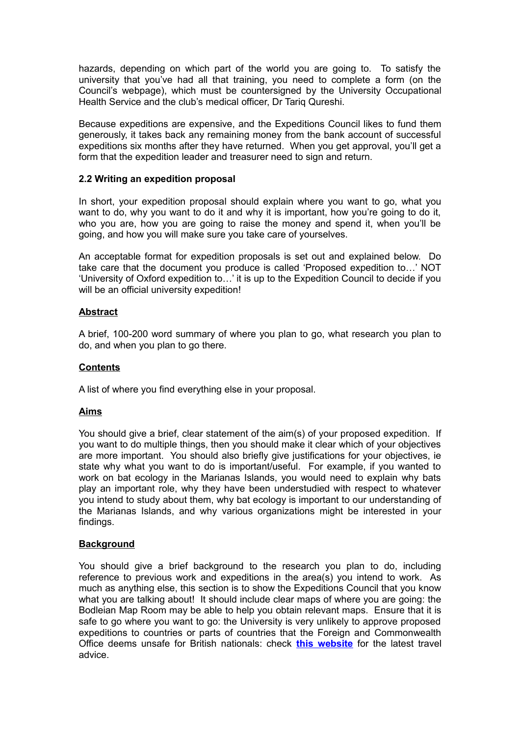hazards, depending on which part of the world you are going to. To satisfy the university that you've had all that training, you need to complete a form (on the Council's webpage), which must be countersigned by the University Occupational Health Service and the club's medical officer, Dr Tariq Qureshi.

Because expeditions are expensive, and the Expeditions Council likes to fund them generously, it takes back any remaining money from the bank account of successful expeditions six months after they have returned. When you get approval, you'll get a form that the expedition leader and treasurer need to sign and return.

## **2.2 Writing an expedition proposal**

In short, your expedition proposal should explain where you want to go, what you want to do, why you want to do it and why it is important, how you're going to do it, who you are, how you are going to raise the money and spend it, when you'll be going, and how you will make sure you take care of yourselves.

An acceptable format for expedition proposals is set out and explained below. Do take care that the document you produce is called 'Proposed expedition to…' NOT 'University of Oxford expedition to…' it is up to the Expedition Council to decide if you will be an official university expedition!

## **Abstract**

A brief, 100-200 word summary of where you plan to go, what research you plan to do, and when you plan to go there.

#### **Contents**

A list of where you find everything else in your proposal.

## **Aims**

You should give a brief, clear statement of the aim(s) of your proposed expedition. If you want to do multiple things, then you should make it clear which of your objectives are more important. You should also briefly give justifications for your objectives, ie state why what you want to do is important/useful. For example, if you wanted to work on bat ecology in the Marianas Islands, you would need to explain why bats play an important role, why they have been understudied with respect to whatever you intend to study about them, why bat ecology is important to our understanding of the Marianas Islands, and why various organizations might be interested in your findings.

#### **Background**

You should give a brief background to the research you plan to do, including reference to previous work and expeditions in the area(s) you intend to work. As much as anything else, this section is to show the Expeditions Council that you know what you are talking about! It should include clear maps of where you are going: the Bodleian Map Room may be able to help you obtain relevant maps. Ensure that it is safe to go where you want to go: the University is very unlikely to approve proposed expeditions to countries or parts of countries that the Foreign and Commonwealth Office deems unsafe for British nationals: check **[this website](https://www.gov.uk/foreign-travel-advice)** for the latest travel advice.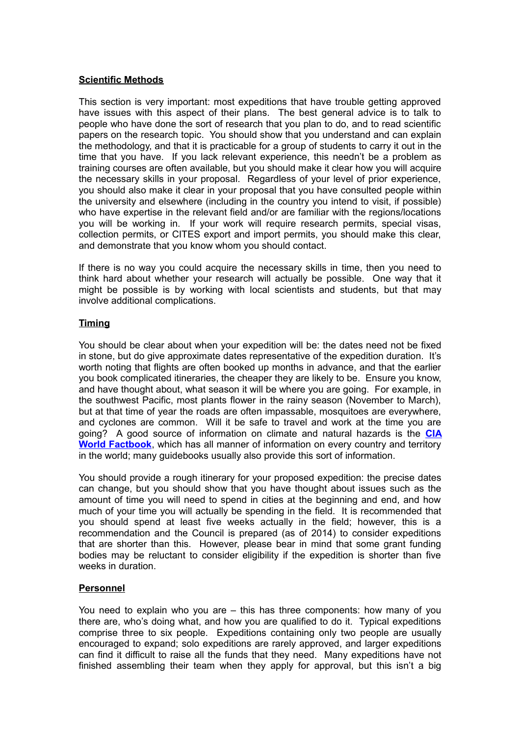## **Scientific Methods**

This section is very important: most expeditions that have trouble getting approved have issues with this aspect of their plans. The best general advice is to talk to people who have done the sort of research that you plan to do, and to read scientific papers on the research topic. You should show that you understand and can explain the methodology, and that it is practicable for a group of students to carry it out in the time that you have. If you lack relevant experience, this needn't be a problem as training courses are often available, but you should make it clear how you will acquire the necessary skills in your proposal. Regardless of your level of prior experience, you should also make it clear in your proposal that you have consulted people within the university and elsewhere (including in the country you intend to visit, if possible) who have expertise in the relevant field and/or are familiar with the regions/locations you will be working in. If your work will require research permits, special visas, collection permits, or CITES export and import permits, you should make this clear, and demonstrate that you know whom you should contact.

If there is no way you could acquire the necessary skills in time, then you need to think hard about whether your research will actually be possible. One way that it might be possible is by working with local scientists and students, but that may involve additional complications.

## **Timing**

You should be clear about when your expedition will be: the dates need not be fixed in stone, but do give approximate dates representative of the expedition duration. It's worth noting that flights are often booked up months in advance, and that the earlier you book complicated itineraries, the cheaper they are likely to be. Ensure you know, and have thought about, what season it will be where you are going. For example, in the southwest Pacific, most plants flower in the rainy season (November to March), but at that time of year the roads are often impassable, mosquitoes are everywhere, and cyclones are common. Will it be safe to travel and work at the time you are going? A good source of information on climate and natural hazards is the **[CIA](https://www.cia.gov/library/publications/the-world-factbook/) [World Factbook](https://www.cia.gov/library/publications/the-world-factbook/)**, which has all manner of information on every country and territory in the world; many guidebooks usually also provide this sort of information.

You should provide a rough itinerary for your proposed expedition: the precise dates can change, but you should show that you have thought about issues such as the amount of time you will need to spend in cities at the beginning and end, and how much of your time you will actually be spending in the field. It is recommended that you should spend at least five weeks actually in the field; however, this is a recommendation and the Council is prepared (as of 2014) to consider expeditions that are shorter than this. However, please bear in mind that some grant funding bodies may be reluctant to consider eligibility if the expedition is shorter than five weeks in duration.

## **Personnel**

You need to explain who you are – this has three components: how many of you there are, who's doing what, and how you are qualified to do it. Typical expeditions comprise three to six people. Expeditions containing only two people are usually encouraged to expand; solo expeditions are rarely approved, and larger expeditions can find it difficult to raise all the funds that they need. Many expeditions have not finished assembling their team when they apply for approval, but this isn't a big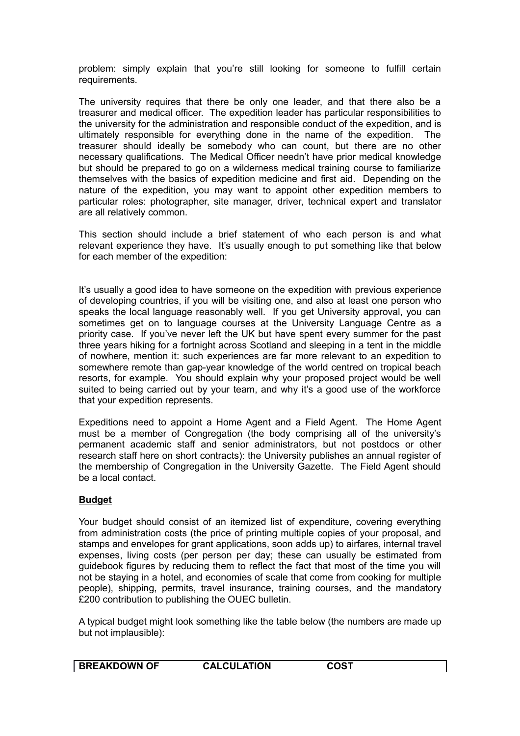problem: simply explain that you're still looking for someone to fulfill certain requirements.

The university requires that there be only one leader, and that there also be a treasurer and medical officer. The expedition leader has particular responsibilities to the university for the administration and responsible conduct of the expedition, and is ultimately responsible for everything done in the name of the expedition. The treasurer should ideally be somebody who can count, but there are no other necessary qualifications. The Medical Officer needn't have prior medical knowledge but should be prepared to go on a wilderness medical training course to familiarize themselves with the basics of expedition medicine and first aid. Depending on the nature of the expedition, you may want to appoint other expedition members to particular roles: photographer, site manager, driver, technical expert and translator are all relatively common.

This section should include a brief statement of who each person is and what relevant experience they have. It's usually enough to put something like that below for each member of the expedition:

It's usually a good idea to have someone on the expedition with previous experience of developing countries, if you will be visiting one, and also at least one person who speaks the local language reasonably well. If you get University approval, you can sometimes get on to language courses at the University Language Centre as a priority case. If you've never left the UK but have spent every summer for the past three years hiking for a fortnight across Scotland and sleeping in a tent in the middle of nowhere, mention it: such experiences are far more relevant to an expedition to somewhere remote than gap-year knowledge of the world centred on tropical beach resorts, for example. You should explain why your proposed project would be well suited to being carried out by your team, and why it's a good use of the workforce that your expedition represents.

Expeditions need to appoint a Home Agent and a Field Agent. The Home Agent must be a member of Congregation (the body comprising all of the university's permanent academic staff and senior administrators, but not postdocs or other research staff here on short contracts): the University publishes an annual register of the membership of Congregation in the University Gazette. The Field Agent should be a local contact.

## **Budget**

Your budget should consist of an itemized list of expenditure, covering everything from administration costs (the price of printing multiple copies of your proposal, and stamps and envelopes for grant applications, soon adds up) to airfares, internal travel expenses, living costs (per person per day; these can usually be estimated from guidebook figures by reducing them to reflect the fact that most of the time you will not be staying in a hotel, and economies of scale that come from cooking for multiple people), shipping, permits, travel insurance, training courses, and the mandatory £200 contribution to publishing the OUEC bulletin.

A typical budget might look something like the table below (the numbers are made up but not implausible):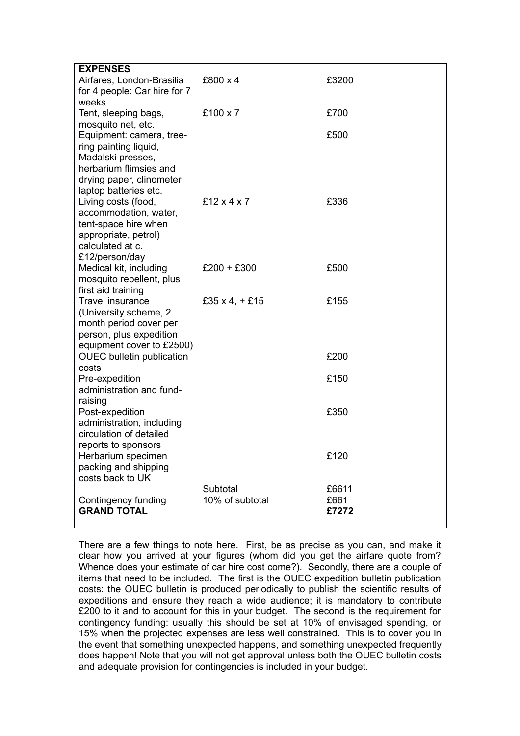| <b>EXPENSES</b>                          |                           |       |
|------------------------------------------|---------------------------|-------|
| Airfares, London-Brasilia                | £800 x 4                  | £3200 |
| for 4 people: Car hire for 7             |                           |       |
| weeks                                    |                           |       |
| Tent, sleeping bags,                     | £100 x 7                  | £700  |
| mosquito net, etc.                       |                           |       |
| Equipment: camera, tree-                 |                           | £500  |
| ring painting liquid,                    |                           |       |
| Madalski presses,                        |                           |       |
| herbarium flimsies and                   |                           |       |
| drying paper, clinometer,                |                           |       |
| laptop batteries etc.                    |                           |       |
| Living costs (food,                      | £12 $\times$ 4 $\times$ 7 | £336  |
| accommodation, water,                    |                           |       |
| tent-space hire when                     |                           |       |
| appropriate, petrol)                     |                           |       |
| calculated at c.                         |                           |       |
| £12/person/day<br>Medical kit, including | $£200 + £300$             | £500  |
| mosquito repellent, plus                 |                           |       |
| first aid training                       |                           |       |
| <b>Travel insurance</b>                  | £35 x 4, $+$ £15          | £155  |
| (University scheme, 2                    |                           |       |
| month period cover per                   |                           |       |
| person, plus expedition                  |                           |       |
| equipment cover to £2500)                |                           |       |
| <b>OUEC</b> bulletin publication         |                           | £200  |
| costs                                    |                           |       |
| Pre-expedition                           |                           | £150  |
| administration and fund-                 |                           |       |
| raising                                  |                           |       |
| Post-expedition                          |                           | £350  |
| administration, including                |                           |       |
| circulation of detailed                  |                           |       |
| reports to sponsors                      |                           |       |
| Herbarium specimen                       |                           | £120  |
| packing and shipping<br>costs back to UK |                           |       |
|                                          | Subtotal                  | £6611 |
| Contingency funding                      | 10% of subtotal           | £661  |
| <b>GRAND TOTAL</b>                       |                           | £7272 |
|                                          |                           |       |

There are a few things to note here. First, be as precise as you can, and make it clear how you arrived at your figures (whom did you get the airfare quote from? Whence does your estimate of car hire cost come?). Secondly, there are a couple of items that need to be included. The first is the OUEC expedition bulletin publication costs: the OUEC bulletin is produced periodically to publish the scientific results of expeditions and ensure they reach a wide audience; it is mandatory to contribute £200 to it and to account for this in your budget. The second is the requirement for contingency funding: usually this should be set at 10% of envisaged spending, or 15% when the projected expenses are less well constrained. This is to cover you in the event that something unexpected happens, and something unexpected frequently does happen! Note that you will not get approval unless both the OUEC bulletin costs and adequate provision for contingencies is included in your budget.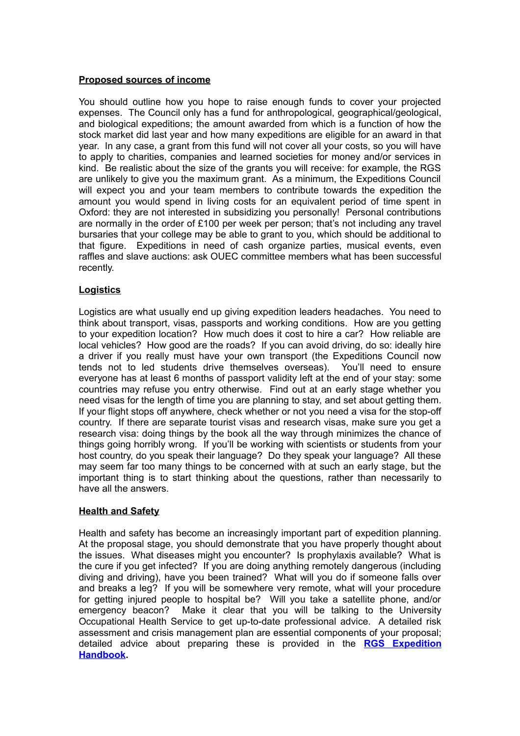## **Proposed sources of income**

You should outline how you hope to raise enough funds to cover your projected expenses. The Council only has a fund for anthropological, geographical/geological, and biological expeditions; the amount awarded from which is a function of how the stock market did last year and how many expeditions are eligible for an award in that year. In any case, a grant from this fund will not cover all your costs, so you will have to apply to charities, companies and learned societies for money and/or services in kind. Be realistic about the size of the grants you will receive: for example, the RGS are unlikely to give you the maximum grant. As a minimum, the Expeditions Council will expect you and your team members to contribute towards the expedition the amount you would spend in living costs for an equivalent period of time spent in Oxford: they are not interested in subsidizing you personally! Personal contributions are normally in the order of £100 per week per person; that's not including any travel bursaries that your college may be able to grant to you, which should be additional to that figure. Expeditions in need of cash organize parties, musical events, even raffles and slave auctions: ask OUEC committee members what has been successful recently.

# **Logistics**

Logistics are what usually end up giving expedition leaders headaches. You need to think about transport, visas, passports and working conditions. How are you getting to your expedition location? How much does it cost to hire a car? How reliable are local vehicles? How good are the roads? If you can avoid driving, do so: ideally hire a driver if you really must have your own transport (the Expeditions Council now tends not to led students drive themselves overseas). You'll need to ensure everyone has at least 6 months of passport validity left at the end of your stay: some countries may refuse you entry otherwise. Find out at an early stage whether you need visas for the length of time you are planning to stay, and set about getting them. If your flight stops off anywhere, check whether or not you need a visa for the stop-off country. If there are separate tourist visas and research visas, make sure you get a research visa: doing things by the book all the way through minimizes the chance of things going horribly wrong. If you'll be working with scientists or students from your host country, do you speak their language? Do they speak your language? All these may seem far too many things to be concerned with at such an early stage, but the important thing is to start thinking about the questions, rather than necessarily to have all the answers.

## **Health and Safety**

Health and safety has become an increasingly important part of expedition planning. At the proposal stage, you should demonstrate that you have properly thought about the issues. What diseases might you encounter? Is prophylaxis available? What is the cure if you get infected? If you are doing anything remotely dangerous (including diving and driving), have you been trained? What will you do if someone falls over and breaks a leg? If you will be somewhere very remote, what will your procedure for getting injured people to hospital be? Will you take a satellite phone, and/or emergency beacon? Make it clear that you will be talking to the University Occupational Health Service to get up-to-date professional advice. A detailed risk assessment and crisis management plan are essential components of your proposal; detailed advice about preparing these is provided in the **[RGS Expedition](http://www.rgs.org/OurWork/Publications/EAC+publications/Expedition+Handbook/Health+and+safety.htm) [Handbook.](http://www.rgs.org/OurWork/Publications/EAC+publications/Expedition+Handbook/Health+and+safety.htm)**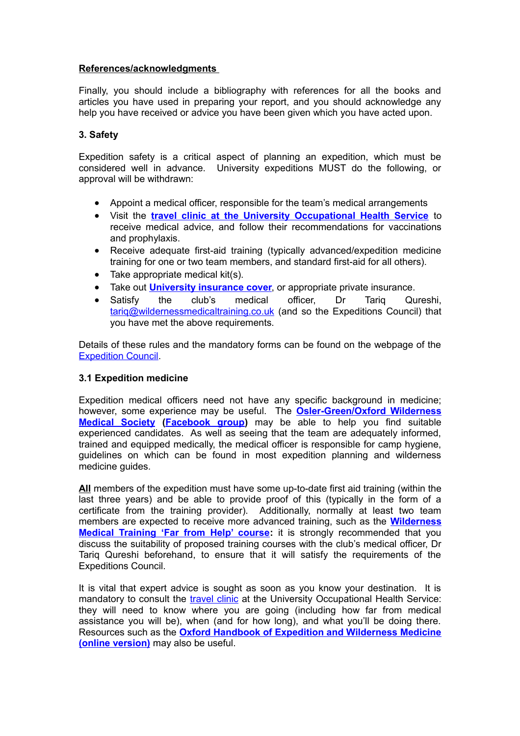## **References/acknowledgments**

Finally, you should include a bibliography with references for all the books and articles you have used in preparing your report, and you should acknowledge any help you have received or advice you have been given which you have acted upon.

## **3. Safety**

Expedition safety is a critical aspect of planning an expedition, which must be considered well in advance. University expeditions MUST do the following, or approval will be withdrawn:

- Appoint a medical officer, responsible for the team's medical arrangements
- <span id="page-9-1"></span> Visit the **[travel clinic at the University Occupational Health Service](#page-9-1)** to receive medical advice, and follow their recommendations for vaccinations and prophylaxis.
- Receive adequate first-aid training (typically advanced/expedition medicine training for one or two team members, and standard first-aid for all others).
- Take appropriate medical kit(s).
- Take out **[University insurance](http://www.admin.ox.ac.uk/finance/insurance/travel/) cover**, or appropriate private insurance.
- Satisfy the club's medical officer, Dr Tariq Qureshi, [tariq@wildernessmedicaltraining.co.uk](mailto:tariq@wildernessmedicaltraining.co.uk) (and so the Expeditions Council) that you have met the above requirements.

Details of these rules and the mandatory forms can be found on the webpage of the [Expedition Council.](http://www.ox.ac.uk/students/academic/expeditions)

#### **3.1 Expedition medicine**

Expedition medical officers need not have any specific background in medicine; however, some experience may be useful. The **[Osler-Green/Oxford Wilderness](http://osler.co.uk/archived/index.php?option=com_content&view=article&id=13&Itemid=18) [Medical Society](http://osler.co.uk/archived/index.php?option=com_content&view=article&id=13&Itemid=18) [\(Facebook group\)](https://www.facebook.com/groups/299010430145943)** may be able to help you find suitable experienced candidates. As well as seeing that the team are adequately informed, trained and equipped medically, the medical officer is responsible for camp hygiene, guidelines on which can be found in most expedition planning and wilderness medicine guides.

**All** members of the expedition must have some up-to-date first aid training (within the last three years) and be able to provide proof of this (typically in the form of a certificate from the training provider). Additionally, normally at least two team members are expected to receive more advanced training, such as the **[Wilderness](http://wildernessmedicaltraining.co.uk/explorer-series-far-from-help) [Medical Training 'Far from Help' course:](http://wildernessmedicaltraining.co.uk/explorer-series-far-from-help)** it is strongly recommended that you discuss the suitability of proposed training courses with the club's medical officer, Dr Tariq Qureshi beforehand, to ensure that it will satisfy the requirements of the Expeditions Council.

<span id="page-9-0"></span>It is vital that expert advice is sought as soon as you know your destination. It is mandatory to consult the [travel clinic](#page-9-0) at the University Occupational Health Service: they will need to know where you are going (including how far from medical assistance you will be), when (and for how long), and what you'll be doing there. Resources such as the **[Oxford Handbook of Expedition and Wilderness Medicine](http://oxfordmedicine.com/view/10.1093/med/9780199296613.001.0001/med-9780199296613) [\(online version\)](http://oxfordmedicine.com/view/10.1093/med/9780199296613.001.0001/med-9780199296613)** may also be useful.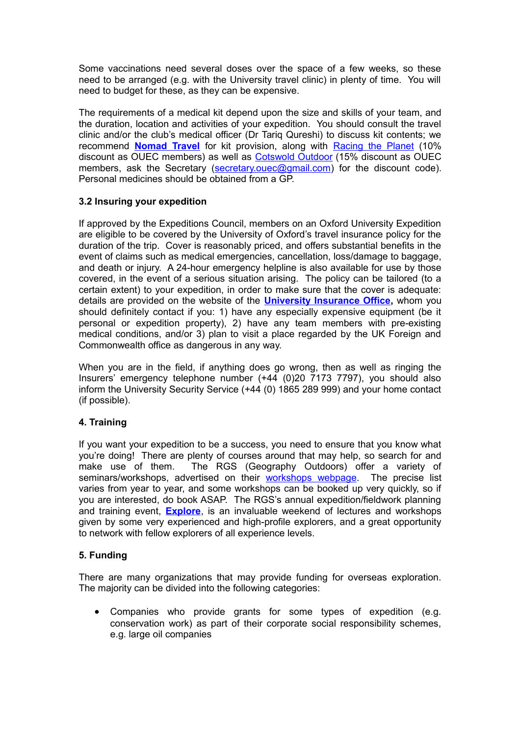Some vaccinations need several doses over the space of a few weeks, so these need to be arranged (e.g. with the University travel clinic) in plenty of time. You will need to budget for these, as they can be expensive.

The requirements of a medical kit depend upon the size and skills of your team, and the duration, location and activities of your expedition. You should consult the travel clinic and/or the club's medical officer (Dr Tariq Qureshi) to discuss kit contents; we recommend **[Nomad Travel](http://www.nomadtravel.co.uk/e-pharmacy)** for kit provision, along with [Racing the Planet](http://uk.racingtheplanet.com/store/) (10% discount as OUEC members) as well as [Cotswold Outdoor](http://www.cotswoldoutdoor.com/?cm_mmc=PPC-_-Cotswold%20Outdoor-UK-BG-Exa-Eng-SE-_-Cotswold+Outdoor-_-Google&_$ja=kw:cotswold+outdoors%7Ccgn:Cotswold+Outdoors%7Ccgid:2654090572%7Ctsid:36976%7Ccn:Cotswold+Outdoor-UK-BG-Exa-Eng-SE-Rest%7Ccid:70529572%7Clid:142697317%7Cmt:Exact%7Cnw:search%7Ccrid:50329444372%7Cdvc:c%7Cadp:1t1&gclid=CMSJgcOU3MECFWoJwwodwkEAog&gclsrc=aw.ds) (15% discount as OUEC members, ask the Secretary [\(secretary.ouec@gmail.com\)](mailto:secretary.ouec@gmail.com) for the discount code). Personal medicines should be obtained from a GP.

# **3.2 Insuring your expedition**

If approved by the Expeditions Council, members on an Oxford University Expedition are eligible to be covered by the University of Oxford's travel insurance policy for the duration of the trip. Cover is reasonably priced, and offers substantial benefits in the event of claims such as medical emergencies, cancellation, loss/damage to baggage, and death or injury. A 24-hour emergency helpline is also available for use by those covered, in the event of a serious situation arising. The policy can be tailored (to a certain extent) to your expedition, in order to make sure that the cover is adequate: details are provided on the website of the **[University Insurance Office,](http://www.admin.ox.ac.uk/finance/insurance/travel/)** whom you should definitely contact if you: 1) have any especially expensive equipment (be it personal or expedition property), 2) have any team members with pre-existing medical conditions, and/or 3) plan to visit a place regarded by the UK Foreign and Commonwealth office as dangerous in any way.

When you are in the field, if anything does go wrong, then as well as ringing the Insurers' emergency telephone number (+44 (0)20 7173 7797), you should also inform the University Security Service (+44 (0) 1865 289 999) and your home contact (if possible).

# **4. Training**

If you want your expedition to be a success, you need to ensure that you know what you're doing! There are plenty of courses around that may help, so search for and make use of them. The RGS (Geography Outdoors) offer a variety of seminars/workshops, advertised on their [workshops webpage.](http://www.rgs.org/OurWork/Fieldwork+and+Expeditions/GO+seminars+and+workshops/Workshops+Safe+and+effective+field+research+expedition.htm) The precise list varies from year to year, and some workshops can be booked up very quickly, so if you are interested, do book ASAP. The RGS's annual expedition/fieldwork planning and training event, **[Explore](http://www.rgs.org/OurWork/Fieldwork+and+Expeditions/GO+seminars+and+workshops/Explore/Explore.htm)**, is an invaluable weekend of lectures and workshops given by some very experienced and high-profile explorers, and a great opportunity to network with fellow explorers of all experience levels.

# **5. Funding**

There are many organizations that may provide funding for overseas exploration. The majority can be divided into the following categories:

 Companies who provide grants for some types of expedition (e.g. conservation work) as part of their corporate social responsibility schemes, e.g. large oil companies